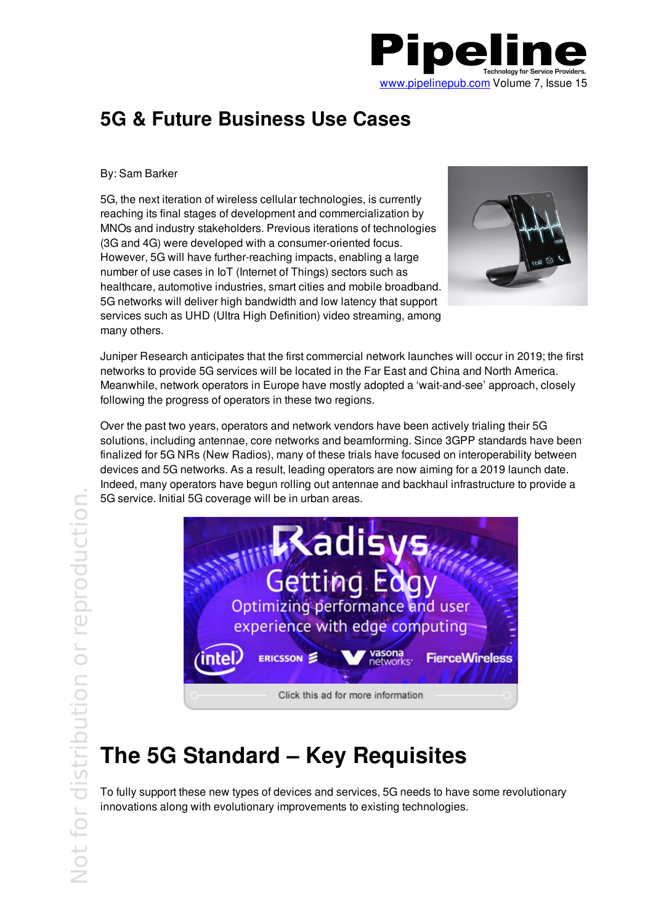

### **5G & Future Business Use Cases**

#### By: Sam Barker

5G, the next iteration of wireless cellular technologies, is currently reaching its final stages of development and commercialization by MNOs and industry stakeholders. Previous iterations of technologies (3G and 4G) were developed with a consumer-oriented focus. However, 5G will have further-reaching impacts, enabling a large number of use cases in IoT (Internet of Things) sectors such as healthcare, automotive industries, smart cities and mobile broadband. 5G networks will deliver high bandwidth and low latency that support services such as UHD (Ultra High Definition) video streaming, among many others.



Juniper Research anticipates that the first commercial network launches will occur in 2019; the first networks to provide 5G services will be located in the Far East and China and North America. Meanwhile, network operators in Europe have mostly adopted a 'wait-and-see' approach, closely following the progress of operators in these two regions.

Over the past two years, operators and network vendors have been actively trialing their 5G solutions, including antennae, core networks and beamforming. Since 3GPP standards have been finalized for 5G NRs (New Radios), many of these trials have focused on interoperability between devices and 5G networks. As a result, leading operators are now aiming for a 2019 launch date. Indeed, many operators have begun rolling out antennae and backhaul infrastructure to provide a 5G service. Initial 5G coverage will be in urban areas.



# **The 5G Standard – Key Requisites**

To fully support these new types of devices and services, 5G needs to have some revolutionary innovations along with evolutionary improvements to existing technologies.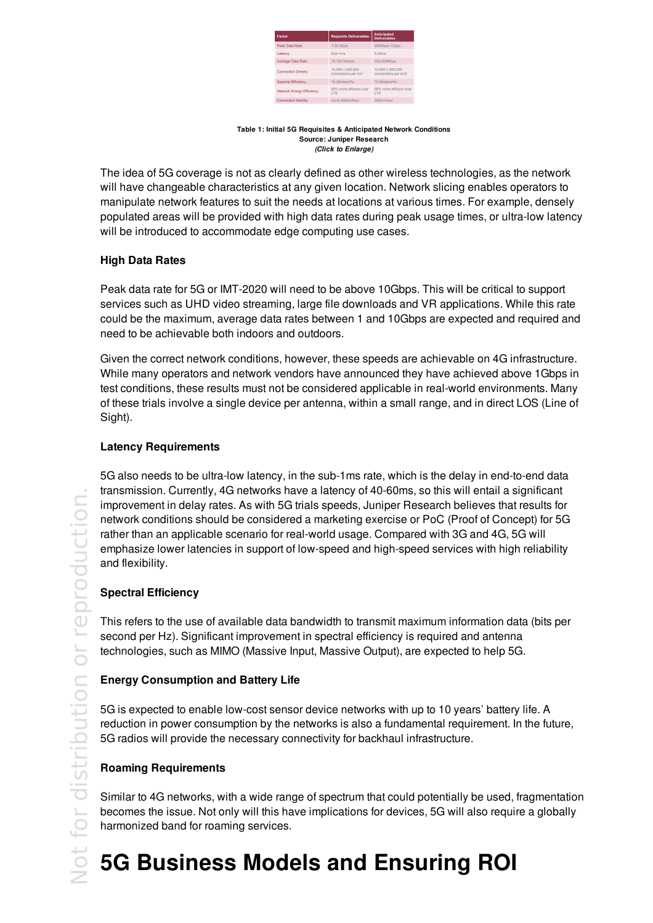| Factor                     | <b>Requisite Deliverables</b>                       | <b>Anticipated</b><br><b>Deliverables</b> |
|----------------------------|-----------------------------------------------------|-------------------------------------------|
| Peak Data Rate             | 1-20 Gbps                                           | 500Mbps-1Gbps                             |
| Latency                    | Sub-1ms                                             | $5-20ms$                                  |
| Average Data Rate          | 10-100 Mbits/s                                      | 250-500Mbps                               |
| <b>Connection Density</b>  | 10.000-1.000.000<br>connections per km <sup>2</sup> | 10.000-1.000.000<br>connections per km2   |
| Spectral Efficiency        | 15-20bits/s/Hz                                      | 75-85hits/s/Hz                            |
| Network Energy Efficiency  | 90% more efficient over<br>LTE                      | 90% more efficient over<br>LTE            |
| <b>Connection Mobility</b> | Up to 500km/hour                                    | 250km/hour                                |

#### **Table 1: Initial 5G Requisites & Anticipated Network Conditions Source: Juniper Research** *(Click to Enlarge)*

The idea of 5G coverage is not as clearly defined as other wireless technologies, as the network will have changeable characteristics at any given location. Network slicing enables operators to manipulate network features to suit the needs at locations at various times. For example, densely populated areas will be provided with high data rates during peak usage times, or ultra-low latency will be introduced to accommodate edge computing use cases.

#### **High Data Rates**

Peak data rate for 5G or IMT-2020 will need to be above 10Gbps. This will be critical to support services such as UHD video streaming, large file downloads and VR applications. While this rate could be the maximum, average data rates between 1 and 10Gbps are expected and required and need to be achievable both indoors and outdoors.

Given the correct network conditions, however, these speeds are achievable on 4G infrastructure. While many operators and network vendors have announced they have achieved above 1Gbps in test conditions, these results must not be considered applicable in real-world environments. Many of these trials involve a single device per antenna, within a small range, and in direct LOS (Line of Sight).

#### **Latency Requirements**

5G also needs to be ultra-low latency, in the sub-1ms rate, which is the delay in end-to-end data transmission. Currently, 4G networks have a latency of 40-60ms, so this will entail a significant improvement in delay rates. As with 5G trials speeds, Juniper Research believes that results for network conditions should be considered a marketing exercise or PoC (Proof of Concept) for 5G rather than an applicable scenario for real-world usage. Compared with 3G and 4G, 5G will emphasize lower latencies in support of low-speed and high-speed services with high reliability and flexibility.

#### **Spectral Efficiency**

This refers to the use of available data bandwidth to transmit maximum information data (bits per second per Hz). Significant improvement in spectral efficiency is required and antenna technologies, such as MIMO (Massive Input, Massive Output), are expected to help 5G.

#### **Energy Consumption and Battery Life**

5G is expected to enable low-cost sensor device networks with up to 10 years' battery life. A reduction in power consumption by the networks is also a fundamental requirement. In the future, 5G radios will provide the necessary connectivity for backhaul infrastructure.

### **Roaming Requirements**

Similar to 4G networks, with a wide range of spectrum that could potentially be used, fragmentation becomes the issue. Not only will this have implications for devices, 5G will also require a globally harmonized band for roaming services.

# **5G Business Models and Ensuring ROI**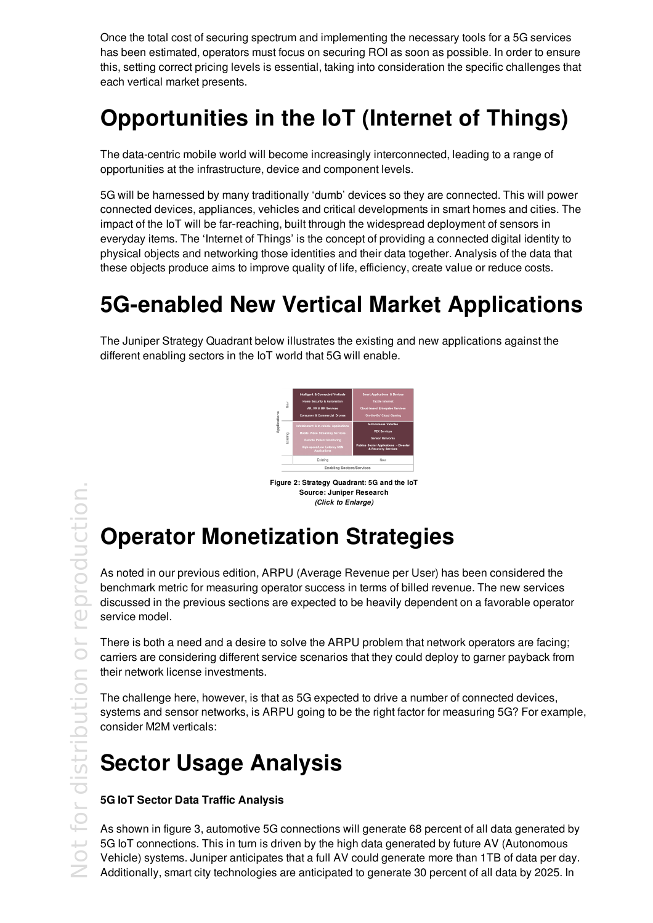Once the total cost of securing spectrum and implementing the necessary tools for a 5G services has been estimated, operators must focus on securing ROI as soon as possible. In order to ensure this, setting correct pricing levels is essential, taking into consideration the specific challenges that each vertical market presents.

### **Opportunities in the IoT (Internet of Things)**

The data-centric mobile world will become increasingly interconnected, leading to a range of opportunities at the infrastructure, device and component levels.

5G will be harnessed by many traditionally 'dumb' devices so they are connected. This will power connected devices, appliances, vehicles and critical developments in smart homes and cities. The impact of the IoT will be far-reaching, built through the widespread deployment of sensors in everyday items. The 'Internet of Things' is the concept of providing a connected digital identity to physical objects and networking those identities and their data together. Analysis of the data that these objects produce aims to improve quality of life, efficiency, create value or reduce costs.

### **5G-enabled New Vertical Market Applications**

The Juniper Strategy Quadrant below illustrates the existing and new applications against the different enabling sectors in the IoT world that 5G will enable.



**Figure 2: Strategy Quadrant: 5G and the IoT Source: Juniper Research** *(Click to Enlarge)*

# **Operator Monetization Strategies**

As noted in our previous edition, ARPU (Average Revenue per User) has been considered the benchmark metric for measuring operator success in terms of billed revenue. The new services discussed in the previous sections are expected to be heavily dependent on a favorable operator service model.

There is both a need and a desire to solve the ARPU problem that network operators are facing; carriers are considering different service scenarios that they could deploy to garner payback from their network license investments.

The challenge here, however, is that as 5G expected to drive a number of connected devices, systems and sensor networks, is ARPU going to be the right factor for measuring 5G? For example, consider M2M verticals:

### **Sector Usage Analysis**

#### **5G IoT Sector Data Traffic Analysis**

As shown in figure 3, automotive 5G connections will generate 68 percent of all data generated by 5G IoT connections. This in turn is driven by the high data generated by future AV (Autonomous Vehicle) systems. Juniper anticipates that a full AV could generate more than 1TB of data per day. Additionally, smart city technologies are anticipated to generate 30 percent of all data by 2025. In